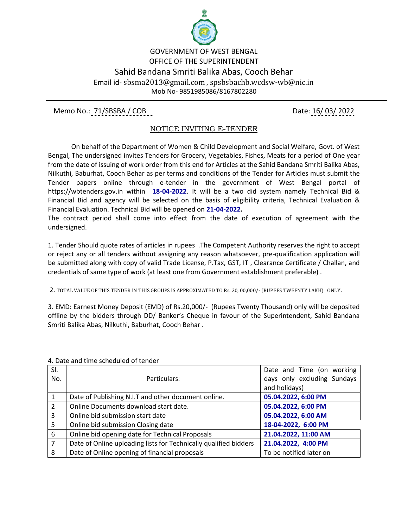

## GOVERNMENT OF WEST BENGAL OFFICE OF THE SUPERINTENDENT Sahid Bandana Smriti Balika Abas, Cooch Behar Email id- sbsma2013@gmail.com , spsbsbachb.wcdsw-wb@nic.in Mob No- 9851985086/8167802280

Memo No.: 71/SBSBA / COB Date: 16/ 03/ 2022

## NOTICE INVITING E-TENDER

 On behalf of the Department of Women & Child Development and Social Welfare, Govt. of West Bengal, The undersigned invites Tenders for Grocery, Vegetables, Fishes, Meats for a period of One year from the date of issuing of work order from this end for Articles at the Sahid Bandana Smriti Balika Abas, Nilkuthi, Baburhat, Cooch Behar as per terms and conditions of the Tender for Articles must submit the Tender papers online through e-tender in the government of West Bengal portal of https://wbtenders.gov.in within **18-04-2022**. It will be a two did system namely Technical Bid & Financial Bid and agency will be selected on the basis of eligibility criteria, Technical Evaluation & Financial Evaluation. Technical Bid will be opened on **21-04-2022.**

The contract period shall come into effect from the date of execution of agreement with the undersigned.

1. Tender Should quote rates of articles in rupees .The Competent Authority reserves the right to accept or reject any or all tenders without assigning any reason whatsoever, pre-qualification application will be submitted along with copy of valid Trade License, P.Tax, GST, IT , Clearance Certificate / Challan, and credentials of same type of work (at least one from Government establishment preferable) .

2. TOTAL VALUE OF THIS TENDER IN THIS GROUPS IS APPROXIMATED TO Rs. 20, 00,000/- (RUPEES TWEENTY LAKH) ONLY.

3. EMD: Earnest Money Deposit (EMD) of Rs.20,000/- (Rupees Twenty Thousand) only will be deposited offline by the bidders through DD/ Banker's Cheque in favour of the Superintendent, Sahid Bandana Smriti Balika Abas, Nilkuthi, Baburhat, Cooch Behar .

| SI.            |                                                                  | Date and Time (on working   |
|----------------|------------------------------------------------------------------|-----------------------------|
| No.            | Particulars:                                                     | days only excluding Sundays |
|                |                                                                  | and holidays)               |
| 1              | Date of Publishing N.I.T and other document online.              | 05.04.2022, 6:00 PM         |
| $\overline{2}$ | Online Documents download start date.                            | 05.04.2022, 6:00 PM         |
| 3              | Online bid submission start date                                 | 05.04.2022, 6:00 AM         |
| 5              | Online bid submission Closing date                               | 18-04-2022, 6:00 PM         |
| 6              | Online bid opening date for Technical Proposals                  | 21.04.2022, 11:00 AM        |
| $\overline{7}$ | Date of Online uploading lists for Technically qualified bidders | 21.04.2022, 4:00 PM         |
| 8              | Date of Online opening of financial proposals                    | To be notified later on     |

4. Date and time scheduled of tender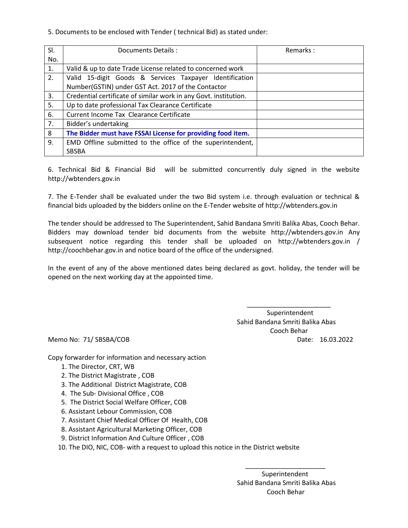5. Documents to be enclosed with Tender ( technical Bid) as stated under:

| SI. | Documents Details :                                              | Remarks: |
|-----|------------------------------------------------------------------|----------|
| No. |                                                                  |          |
| 1.  | Valid & up to date Trade License related to concerned work       |          |
| 2.  | Valid 15-digit Goods & Services Taxpayer Identification          |          |
|     | Number(GSTIN) under GST Act. 2017 of the Contactor               |          |
| 3.  | Credential certificate of similar work in any Govt. institution. |          |
| 5.  | Up to date professional Tax Clearance Certificate                |          |
| 6.  | Current Income Tax Clearance Certificate                         |          |
| 7.  | Bidder's undertaking                                             |          |
| 8   | The Bidder must have FSSAI License for providing food item.      |          |
| 9.  | EMD Offline submitted to the office of the superintendent,       |          |
|     | <b>SBSBA</b>                                                     |          |

6. Technical Bid & Financial Bid will be submitted concurrently duly signed in the website http://wbtenders.gov.in

7. The E-Tender shall be evaluated under the two Bid system i.e. through evaluation or technical & financial bids uploaded by the bidders online on the E-Tender website of http://wbtenders.gov.in

The tender should be addressed to The Superintendent, Sahid Bandana Smriti Balika Abas, Cooch Behar. Bidders may download tender bid documents from the website http://wbtenders.gov.in Any subsequent notice regarding this tender shall be uploaded on http://wbtenders.gov.in / http://coochbehar.gov.in and notice board of the office of the undersigned.

In the event of any of the above mentioned dates being declared as govt. holiday, the tender will be opened on the next working day at the appointed time.

 $\overline{\phantom{a}}$  , and the contract of the contract of the contract of the contract of the contract of the contract of the contract of the contract of the contract of the contract of the contract of the contract of the contrac

 Superintendent Sahid Bandana Smriti Balika Abas Cooch Behar Memo No: 71/ SBSBA/COB Date: 16.03.2022

Copy forwarder for information and necessary action

- 1. The Director, CRT, WB
- 2. The District Magistrate , COB
- 3. The Additional District Magistrate, COB
- 4. The Sub- Divisional Office , COB
- 5. The District Social Welfare Officer, COB
- 6. Assistant Lebour Commission, COB
- 7. Assistant Chief Medical Officer Of Health, COB
- 8. Assistant Agricultural Marketing Officer, COB
- 9. District Information And Culture Officer , COB

10. The DIO, NIC, COB- with a request to upload this notice in the District website

 $\overline{\phantom{a}}$  , and the contract of the contract of the contract of the contract of the contract of the contract of the contract of the contract of the contract of the contract of the contract of the contract of the contrac

 Superintendent Sahid Bandana Smriti Balika Abas Cooch Behar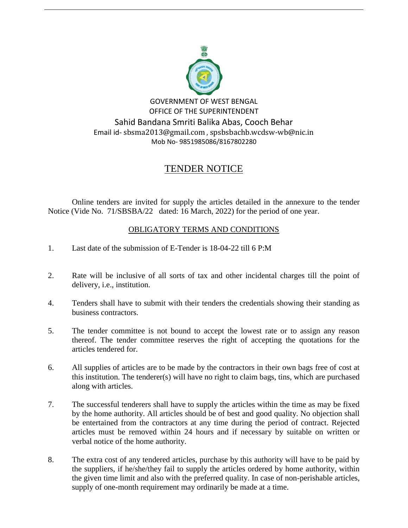

## TENDER NOTICE

Online tenders are invited for supply the articles detailed in the annexure to the tender Notice (Vide No. 71/SBSBA/22 dated: 16 March, 2022) for the period of one year.

## OBLIGATORY TERMS AND CONDITIONS

- 1. Last date of the submission of E-Tender is 18-04-22 till 6 P:M
- 2. Rate will be inclusive of all sorts of tax and other incidental charges till the point of delivery, i.e., institution.
- 4. Tenders shall have to submit with their tenders the credentials showing their standing as business contractors.
- 5. The tender committee is not bound to accept the lowest rate or to assign any reason thereof. The tender committee reserves the right of accepting the quotations for the articles tendered for.
- 6. All supplies of articles are to be made by the contractors in their own bags free of cost at this institution. The tenderer(s) will have no right to claim bags, tins, which are purchased along with articles.
- 7. The successful tenderers shall have to supply the articles within the time as may be fixed by the home authority. All articles should be of best and good quality. No objection shall be entertained from the contractors at any time during the period of contract. Rejected articles must be removed within 24 hours and if necessary by suitable on written or verbal notice of the home authority.
- 8. The extra cost of any tendered articles, purchase by this authority will have to be paid by the suppliers, if he/she/they fail to supply the articles ordered by home authority, within the given time limit and also with the preferred quality. In case of non-perishable articles, supply of one-month requirement may ordinarily be made at a time.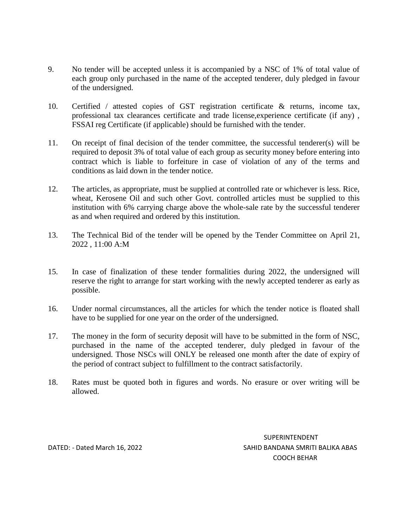- 9. No tender will be accepted unless it is accompanied by a NSC of 1% of total value of each group only purchased in the name of the accepted tenderer, duly pledged in favour of the undersigned.
- 10. Certified / attested copies of GST registration certificate & returns, income tax, professional tax clearances certificate and trade license,experience certificate (if any) , FSSAI reg Certificate (if applicable) should be furnished with the tender.
- 11. On receipt of final decision of the tender committee, the successful tenderer(s) will be required to deposit 3% of total value of each group as security money before entering into contract which is liable to forfeiture in case of violation of any of the terms and conditions as laid down in the tender notice.
- 12. The articles, as appropriate, must be supplied at controlled rate or whichever is less. Rice, wheat, Kerosene Oil and such other Govt. controlled articles must be supplied to this institution with 6% carrying charge above the whole-sale rate by the successful tenderer as and when required and ordered by this institution.
- 13. The Technical Bid of the tender will be opened by the Tender Committee on April 21, 2022 , 11:00 A:M
- 15. In case of finalization of these tender formalities during 2022, the undersigned will reserve the right to arrange for start working with the newly accepted tenderer as early as possible.
- 16. Under normal circumstances, all the articles for which the tender notice is floated shall have to be supplied for one year on the order of the undersigned.
- 17. The money in the form of security deposit will have to be submitted in the form of NSC, purchased in the name of the accepted tenderer, duly pledged in favour of the undersigned. Those NSCs will ONLY be released one month after the date of expiry of the period of contract subject to fulfillment to the contract satisfactorily.
- 18. Rates must be quoted both in figures and words. No erasure or over writing will be allowed.

SUPERINTENDENT DATED: - Dated March 16, 2022 SAHID BANDANA SMRITI BALIKA ABAS COOCH BEHAR